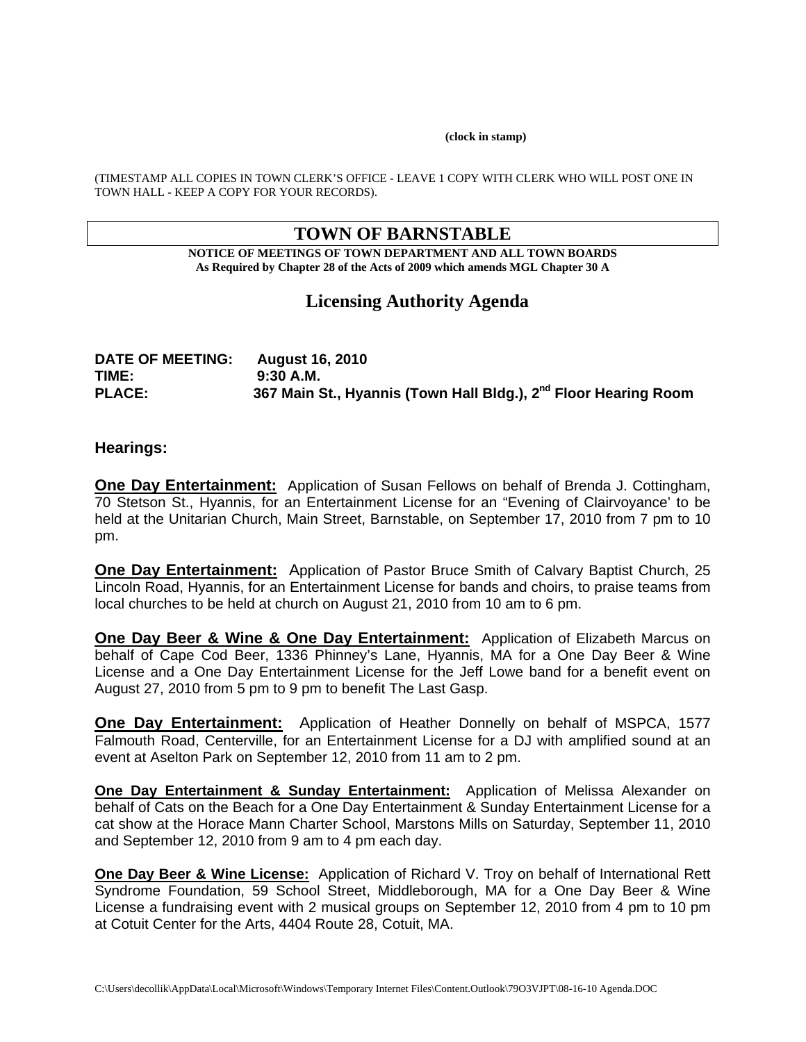#### **(clock in stamp)**

(TIMESTAMP ALL COPIES IN TOWN CLERK'S OFFICE - LEAVE 1 COPY WITH CLERK WHO WILL POST ONE IN TOWN HALL - KEEP A COPY FOR YOUR RECORDS).

# **TOWN OF BARNSTABLE**

**NOTICE OF MEETINGS OF TOWN DEPARTMENT AND ALL TOWN BOARDS As Required by Chapter 28 of the Acts of 2009 which amends MGL Chapter 30 A** 

# **Licensing Authority Agenda**

| <b>DATE OF MEETING:</b> | <b>August 16, 2010</b>                                                      |
|-------------------------|-----------------------------------------------------------------------------|
| TIME:                   | $9:30$ A.M.                                                                 |
| <b>PLACE:</b>           | 367 Main St., Hyannis (Town Hall Bldg.), 2 <sup>nd</sup> Floor Hearing Room |

#### **Hearings:**

**One Day Entertainment:** Application of Susan Fellows on behalf of Brenda J. Cottingham, 70 Stetson St., Hyannis, for an Entertainment License for an "Evening of Clairvoyance' to be held at the Unitarian Church, Main Street, Barnstable, on September 17, 2010 from 7 pm to 10 pm.

**One Day Entertainment:** Application of Pastor Bruce Smith of Calvary Baptist Church, 25 Lincoln Road, Hyannis, for an Entertainment License for bands and choirs, to praise teams from local churches to be held at church on August 21, 2010 from 10 am to 6 pm.

**One Day Beer & Wine & One Day Entertainment:** Application of Elizabeth Marcus on behalf of Cape Cod Beer, 1336 Phinney's Lane, Hyannis, MA for a One Day Beer & Wine License and a One Day Entertainment License for the Jeff Lowe band for a benefit event on August 27, 2010 from 5 pm to 9 pm to benefit The Last Gasp.

**One Day Entertainment:** Application of Heather Donnelly on behalf of MSPCA, 1577 Falmouth Road, Centerville, for an Entertainment License for a DJ with amplified sound at an event at Aselton Park on September 12, 2010 from 11 am to 2 pm.

**One Day Entertainment & Sunday Entertainment:** Application of Melissa Alexander on behalf of Cats on the Beach for a One Day Entertainment & Sunday Entertainment License for a cat show at the Horace Mann Charter School, Marstons Mills on Saturday, September 11, 2010 and September 12, 2010 from 9 am to 4 pm each day.

**One Day Beer & Wine License:** Application of Richard V. Troy on behalf of International Rett Syndrome Foundation, 59 School Street, Middleborough, MA for a One Day Beer & Wine License a fundraising event with 2 musical groups on September 12, 2010 from 4 pm to 10 pm at Cotuit Center for the Arts, 4404 Route 28, Cotuit, MA.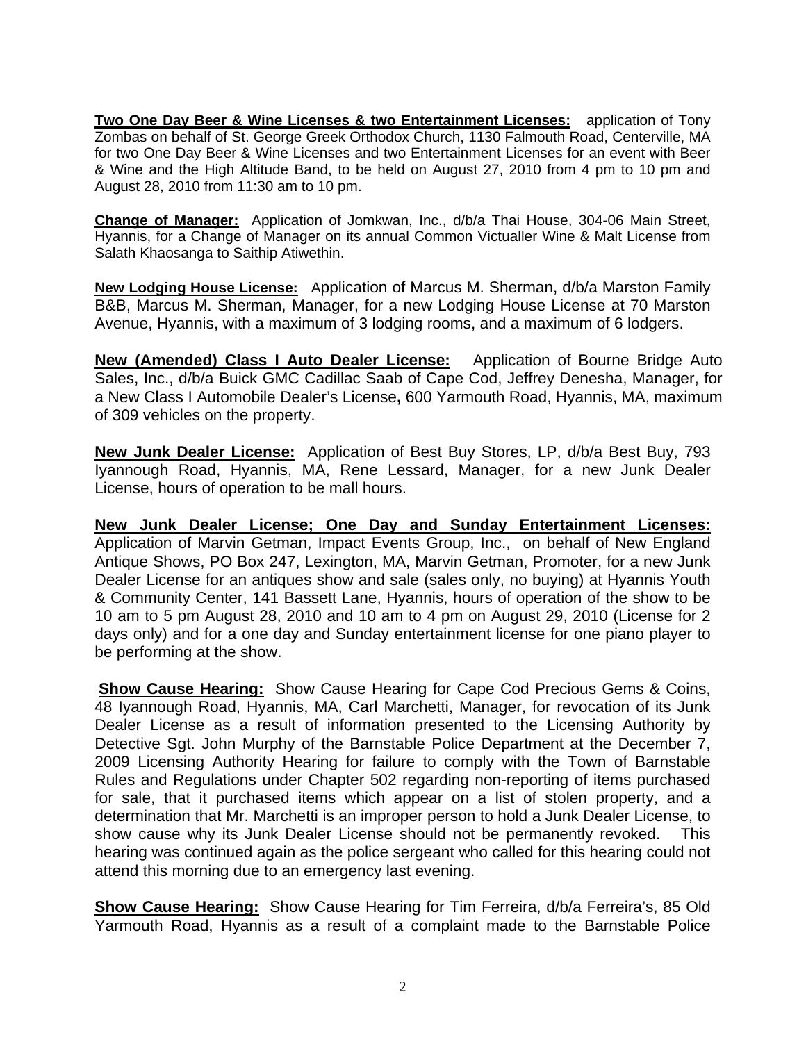**Two One Day Beer & Wine Licenses & two Entertainment Licenses:** application of Tony Zombas on behalf of St. George Greek Orthodox Church, 1130 Falmouth Road, Centerville, MA for two One Day Beer & Wine Licenses and two Entertainment Licenses for an event with Beer & Wine and the High Altitude Band, to be held on August 27, 2010 from 4 pm to 10 pm and August 28, 2010 from 11:30 am to 10 pm.

**Change of Manager:** Application of Jomkwan, Inc., d/b/a Thai House, 304-06 Main Street, Hyannis, for a Change of Manager on its annual Common Victualler Wine & Malt License from Salath Khaosanga to Saithip Atiwethin.

**New Lodging House License:** Application of Marcus M. Sherman, d/b/a Marston Family B&B, Marcus M. Sherman, Manager, for a new Lodging House License at 70 Marston Avenue, Hyannis, with a maximum of 3 lodging rooms, and a maximum of 6 lodgers.

**New (Amended) Class I Auto Dealer License:** Application of Bourne Bridge Auto Sales, Inc., d/b/a Buick GMC Cadillac Saab of Cape Cod, Jeffrey Denesha, Manager, for a New Class I Automobile Dealer's License**,** 600 Yarmouth Road, Hyannis, MA, maximum of 309 vehicles on the property.

**New Junk Dealer License:** Application of Best Buy Stores, LP, d/b/a Best Buy, 793 Iyannough Road, Hyannis, MA, Rene Lessard, Manager, for a new Junk Dealer License, hours of operation to be mall hours.

**New Junk Dealer License; One Day and Sunday Entertainment Licenses:**  Application of Marvin Getman, Impact Events Group, Inc., on behalf of New England Antique Shows, PO Box 247, Lexington, MA, Marvin Getman, Promoter, for a new Junk Dealer License for an antiques show and sale (sales only, no buying) at Hyannis Youth & Community Center, 141 Bassett Lane, Hyannis, hours of operation of the show to be 10 am to 5 pm August 28, 2010 and 10 am to 4 pm on August 29, 2010 (License for 2 days only) and for a one day and Sunday entertainment license for one piano player to be performing at the show.

**Show Cause Hearing:** Show Cause Hearing for Cape Cod Precious Gems & Coins, 48 Iyannough Road, Hyannis, MA, Carl Marchetti, Manager, for revocation of its Junk Dealer License as a result of information presented to the Licensing Authority by Detective Sgt. John Murphy of the Barnstable Police Department at the December 7, 2009 Licensing Authority Hearing for failure to comply with the Town of Barnstable Rules and Regulations under Chapter 502 regarding non-reporting of items purchased for sale, that it purchased items which appear on a list of stolen property, and a determination that Mr. Marchetti is an improper person to hold a Junk Dealer License, to show cause why its Junk Dealer License should not be permanently revoked. This hearing was continued again as the police sergeant who called for this hearing could not attend this morning due to an emergency last evening.

**Show Cause Hearing:** Show Cause Hearing for Tim Ferreira, d/b/a Ferreira's, 85 Old Yarmouth Road, Hyannis as a result of a complaint made to the Barnstable Police